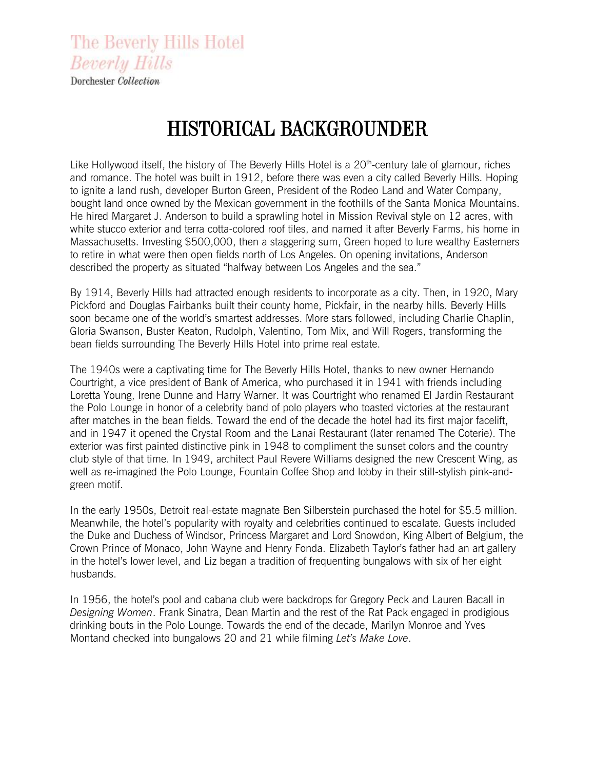The Beverly Hills Hotel **Beverly Hills** 

Dorchester Collection

## HISTORICAL BACKGROUNDER

Like Hollywood itself, the history of The Beverly Hills Hotel is a 20<sup>th</sup>-century tale of glamour, riches and romance. The hotel was built in 1912, before there was even a city called Beverly Hills. Hoping to ignite a land rush, developer Burton Green, President of the Rodeo Land and Water Company, bought land once owned by the Mexican government in the foothills of the Santa Monica Mountains. He hired Margaret J. Anderson to build a sprawling hotel in Mission Revival style on 12 acres, with white stucco exterior and terra cotta-colored roof tiles, and named it after Beverly Farms, his home in Massachusetts. Investing \$500,000, then a staggering sum, Green hoped to lure wealthy Easterners to retire in what were then open fields north of Los Angeles. On opening invitations, Anderson described the property as situated "halfway between Los Angeles and the sea."

By 1914, Beverly Hills had attracted enough residents to incorporate as a city. Then, in 1920, Mary Pickford and Douglas Fairbanks built their county home, Pickfair, in the nearby hills. Beverly Hills soon became one of the world's smartest addresses. More stars followed, including Charlie Chaplin, Gloria Swanson, Buster Keaton, Rudolph, Valentino, Tom Mix, and Will Rogers, transforming the bean fields surrounding The Beverly Hills Hotel into prime real estate.

The 1940s were a captivating time for The Beverly Hills Hotel, thanks to new owner Hernando Courtright, a vice president of Bank of America, who purchased it in 1941 with friends including Loretta Young, Irene Dunne and Harry Warner. It was Courtright who renamed El Jardin Restaurant the Polo Lounge in honor of a celebrity band of polo players who toasted victories at the restaurant after matches in the bean fields. Toward the end of the decade the hotel had its first major facelift, and in 1947 it opened the Crystal Room and the Lanai Restaurant (later renamed The Coterie). The exterior was first painted distinctive pink in 1948 to compliment the sunset colors and the country club style of that time. In 1949, architect Paul Revere Williams designed the new Crescent Wing, as well as re-imagined the Polo Lounge, Fountain Coffee Shop and lobby in their still-stylish pink-andgreen motif.

In the early 1950s, Detroit real-estate magnate Ben Silberstein purchased the hotel for \$5.5 million. Meanwhile, the hotel's popularity with royalty and celebrities continued to escalate. Guests included the Duke and Duchess of Windsor, Princess Margaret and Lord Snowdon, King Albert of Belgium, the Crown Prince of Monaco, John Wayne and Henry Fonda. Elizabeth Taylor's father had an art gallery in the hotel's lower level, and Liz began a tradition of frequenting bungalows with six of her eight husbands.

In 1956, the hotel's pool and cabana club were backdrops for Gregory Peck and Lauren Bacall in *Designing Women*. Frank Sinatra, Dean Martin and the rest of the Rat Pack engaged in prodigious drinking bouts in the Polo Lounge. Towards the end of the decade, Marilyn Monroe and Yves Montand checked into bungalows 20 and 21 while filming *Let's Make Love*.